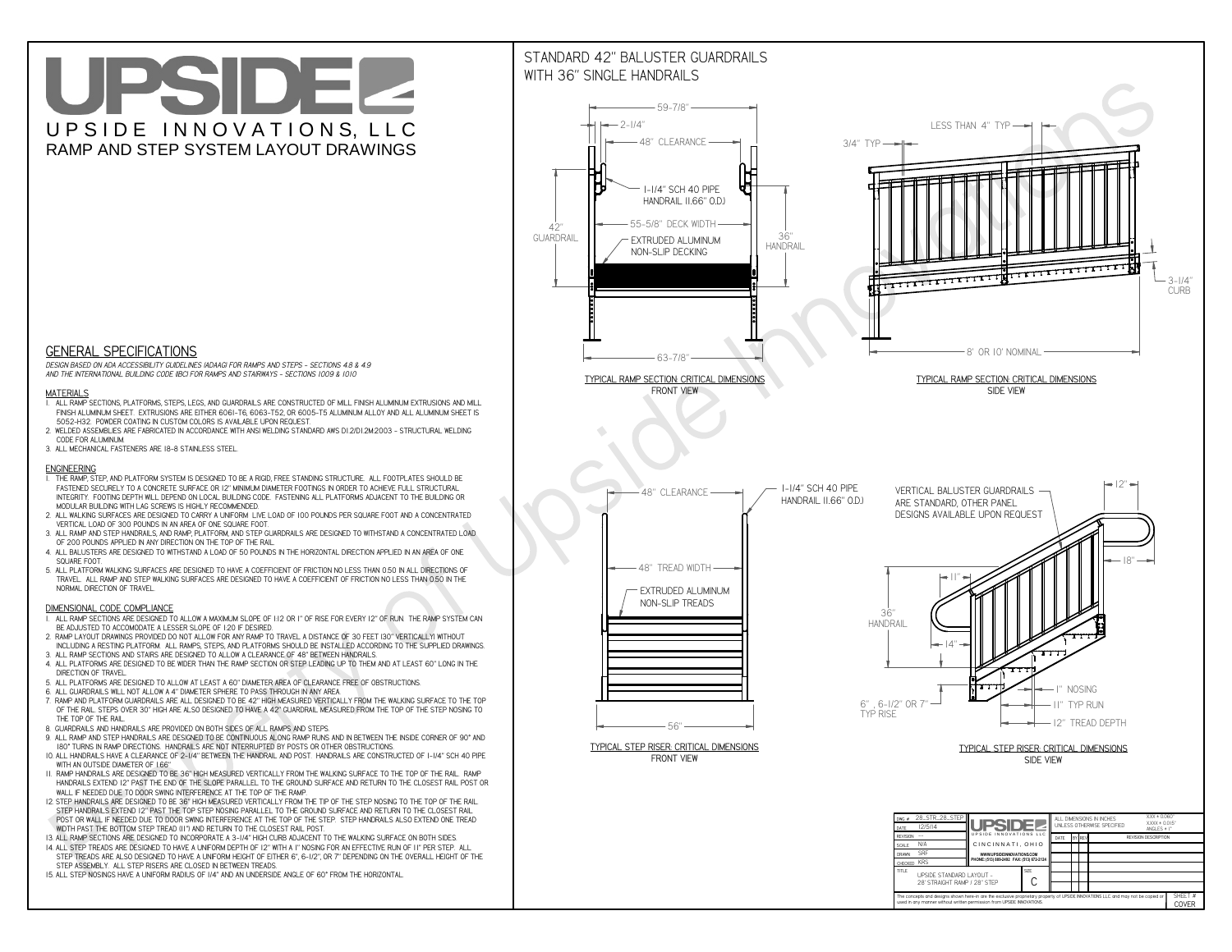# UPSIDEL UPSIDE INNOVATIONS, LLC RAMP AND STEP SYSTEM LAYOUT DRAWINGS



 *DESIGN BASED ON ADA ACCESSIBILITY GUIDELINES (ADAAG) FOR RAMPS AND STEPS - SECTIONS 4.8 & 4.9AND THE INTERNATIONAL BUILDING CODE (IBC) FOR RAMPS AND STAIRWAYS - SECTIONS 1009 & 1010*

#### **MATERIALS**

- **1. ALL RAMP SECTIONS, PLATFORMS, STEPS, LEGS, AND GUARDRAILS ARE CONSTRUCTED OF MILL FINISH ALUMINUM EXTRUSIONS AND MILL FINISH ALUMINUM SHEET. EXTRUSIONS ARE EITHER 6061-T6, 6063-T52, OR 6005-T5 ALUMINUM ALLOY AND ALL ALUMINUM SHEET IS 5052-H32. POWDER COATING IN CUSTOM COLORS IS AVAILABLE UPON REQUEST.**
- **2. WELDED ASSEMBLIES ARE FABRICATED IN ACCORDANCE WITH ANSI WELDING STANDARD AWS D1.2/D1.2M:2003 STRUCTURAL WELDING CODE FOR ALUMINUM.**
- **3. ALL MECHANICAL FASTENERS ARE 18-8 STAINLESS STEEL.**

#### **ENGINEERING**

- **1. THE RAMP, STEP, AND PLATFORM SYSTEM IS DESIGNED TO BE A RIGID, FREE STANDING STRUCTURE. ALL FOOTPLATES SHOULD BE FASTENED SECURELY TO A CONCRETE SURFACE OR 12" MINIMUM DIAMETER FOOTINGS IN ORDER TO ACHIEVE FULL STRUCTURAL INTEGRITY. FOOTING DEPTH WILL DEPEND ON LOCAL BUILDING CODE. FASTENING ALL PLATFORMS ADJACENT TO THE BUILDING OR MODULAR BUILDING WITH LAG SCREWS IS HIGHLY RECOMMENDED.**
- **2. ALL WALKING SURFACES ARE DESIGNED TO CARRY A UNIFORM LIVE LOAD OF 100 POUNDS PER SQUARE FOOT AND A CONCENTRATED VERTICAL LOAD OF 300 POUNDS IN AN AREA OF ONE SQUARE FOOT.**
- **3. ALL RAMP AND STEP HANDRAILS, AND RAMP, PLATFORM, AND STEP GUARDRAILS ARE DESIGNED TO WITHSTAND A CONCENTRATED LOAD OF 200 POUNDS APPLIED IN ANY DIRECTION ON THE TOP OF THE RAIL.**
- **4. ALL BALUSTERS ARE DESIGNED TO WITHSTAND A LOAD OF 50 POUNDS IN THE HORIZONTAL DIRECTION APPLIED IN AN AREA OF ONE SQUARE FOOT.**
- **5. ALL PLATFORM WALKING SURFACES ARE DESIGNED TO HAVE A COEFFICIENT OF FRICTION NO LESS THAN 0.50 IN ALL DIRECTIONS OF TRAVEL. ALL RAMP AND STEP WALKING SURFACES ARE DESIGNED TO HAVE A COEFFICIENT OF FRICTION NO LESS THAN 0.50 IN THE NORMAL DIRECTION OF TRAVEL.**

### **DIMENSIONAL CODE COMPLIANCE**



- **1. ALL RAMP SECTIONS ARE DESIGNED TO ALLOW A MAXIMUM SLOPE OF 1:12 OR 1" OF RISE FOR EVERY 12" OF RUN. THE RAMP SYSTEM CAN BE ADJUSTED TO ACCOMODATE A LESSER SLOPE OF 1:20 IF DESIRED.**
- **2. RAMP LAYOUT DRAWINGS PROVIDED DO NOT ALLOW FOR ANY RAMP TO TRAVEL A DISTANCE OF 30 FEET (30" VERTICALLY) WITHOUT INCLUDING A RESTING PLATFORM. ALL RAMPS, STEPS, AND PLATFORMS SHOULD BE INSTALLED ACCORDING TO THE SUPPLIED DRAWINGS.**
- **3. ALL RAMP SECTIONS AND STAIRS ARE DESIGNED TO ALLOW A CLEARANCE OF 48" BETWEEN HANDRAILS.**
- **4. ALL PLATFORMS ARE DESIGNED TO BE WIDER THAN THE RAMP SECTION OR STEP LEADING UP TO THEM AND AT LEAST 60" LONG IN THE DIRECTION OF TRAVEL.**
- **5. ALL PLATFORMS ARE DESIGNED TO ALLOW AT LEAST A 60" DIAMETER AREA OF CLEARANCE FREE OF OBSTRUCTIONS.**
- **6. ALL GUARDRAILS WILL NOT ALLOW A 4" DIAMETER SPHERE TO PASS THROUGH IN ANY AREA.**
- **7. RAMP AND PLATFORM GUARDRAILS ARE ALL DESIGNED TO BE 42" HIGH MEASURED VERTICALLY FROM THE WALKING SURFACE TO THE TOP OF THE RAIL. STEPS OVER 30" HIGH ARE ALSO DESIGNED TO HAVE A 42" GUARDRAIL MEASURED FROM THE TOP OF THE STEP NOSING TO THE TOP OF THE RAIL.**
- **8. GUARDRAILS AND HANDRAILS ARE PROVIDED ON BOTH SIDES OF ALL RAMPS AND STEPS.**
- **9. ALL RAMP AND STEP HANDRAILS ARE DESIGNED TO BE CONTINUOUS ALONG RAMP RUNS AND IN BETWEEN THE INSIDE CORNER OF 90° AND 180° TURNS IN RAMP DIRECTIONS. HANDRAILS ARE NOT INTERRUPTED BY POSTS OR OTHER OBSTRUCTIONS.**
- **10. ALL HANDRAILS HAVE A CLEARANCE OF 2-1/4" BETWEEN THE HANDRAIL AND POST. HANDRAILS ARE CONSTRUCTED OF 1-1/4" SCH 40 PIPE WITH AN OUTSIDE DIAMETER OF 1.66"**
- **11. RAMP HANDRAILS ARE DESIGNED TO BE 36" HIGH MEASURED VERTICALLY FROM THE WALKING SURFACE TO THE TOP OF THE RAIL. RAMP HANDRAILS EXTEND 12" PAST THE END OF THE SLOPE PARALLEL TO THE GROUND SURFACE AND RETURN TO THE CLOSEST RAIL POST OR WALL IF NEEDED DUE TO DOOR SWING INTERFERENCE AT THE TOP OF THE RAMP.**
- **12. STEP HANDRAILS ARE DESIGNED TO BE 36" HIGH MEASURED VERTICALLY FROM THE TIP OF THE STEP NOSING TO THE TOP OF THE RAIL. STEP HANDRAILS EXTEND 12" PAST THE TOP STEP NOSING PARALLEL TO THE GROUND SURFACE AND RETURN TO THE CLOSEST RAIL POST OR WALL IF NEEDED DUE TO DOOR SWING INTERFERENCE AT THE TOP OF THE STEP. STEP HANDRAILS ALSO EXTEND ONE TREAD**
- **WIDTH PAST THE BOTTOM STEP TREAD (11") AND RETURN TO THE CLOSEST RAIL POST.**
- **13. ALL RAMP SECTIONS ARE DESIGNED TO INCORPORATE A 3-1/4" HIGH CURB ADJACENT TO THE WALKING SURFACE ON BOTH SIDES.**
- **14. ALL STEP TREADS ARE DESIGNED TO HAVE A UNIFORM DEPTH OF 12" WITH A 1" NOSING FOR AN EFFECTIVE RUN OF 11" PER STEP. ALL STEP TREADS ARE ALSO DESIGNED TO HAVE A UNIFORM HEIGHT OF EITHER 6", 6-1/2", OR 7" DEPENDING ON THE OVERALL HEIGHT OF THE STEP ASSEMBLY. ALL STEP RISERS ARE CLOSED IN BETWEEN TREADS.**
- **15. ALL STEP NOSINGS HAVE A UNIFORM RADIUS OF 1/4" AND AN UNDERSIDE ANGLE OF 60° FROM THE HORIZONTAL.**

## STANDARD 42" BALUSTER GUARDRAILSWITH 36" SINGLE HANDRAILS